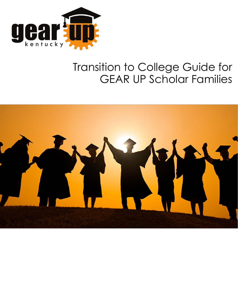

# Transition to College Guide for GEAR UP Scholar Families

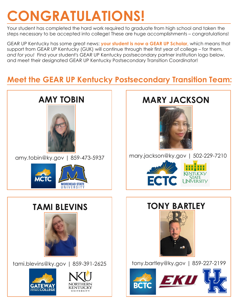# **CONGRATULATIONS!**

Your student has completed the hard work required to graduate from high school and taken the steps necessary to be accepted into college! These are huge accomplishments – congratulations!

GEAR UP Kentucky has some great news: **your student is now a GEAR UP Scholar,** which means that support from GEAR UP Kentucky (GUK) will continue through their first year of college – for them, *and for you!* Find your student's GEAR UP Kentucky postsecondary partner institution logo below, and meet their designated GEAR UP Kentucky Postsecondary Transition Coordinator!

### **Meet the GEAR UP Kentucky Postsecondary Transition Team:**

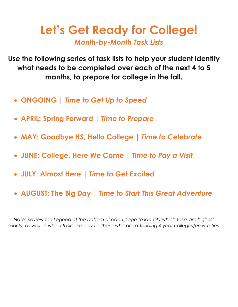# **Let's Get Ready for College!** *Month-by-Month Task Lists*

**Use the following series of task lists to help your student identify what needs to be completed over each of the next 4 to 5 months, to prepare for college in the fall.** 

- **ONGOING |** *Time to Get Up to Speed*
- **APRIL: Spring Forward |** *Time to Prepare*
- **MAY: Goodbye HS, Hello College |** *Time to Celebrate*
- **JUNE: College, Here We Come |** *Time to Pay a Visit*
- **JULY: Almost Here |** *Time to Get Excited*
- **AUGUST: The Big Day |** *Time to Start This Great Adventure*

*Note: Review the Legend at the bottom of each page to identify which tasks are highest priority, as well as which tasks are only for those who are attending 4-year colleges/universities.*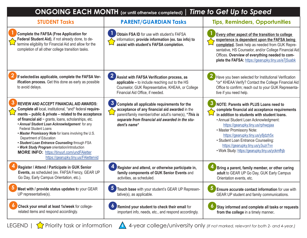| <b>STUDENT Tasks</b>                                                                                                                                                                                                                                                                                                                                                                                                                                                                                                                                                                                  | <b>PARENT/GUARDIAN Tasks</b>                                                                                                                                                                                                              | <b>Tips, Reminders, Opportunities</b>                                                                                                                                                                                                                                                                                                                                                                                 |
|-------------------------------------------------------------------------------------------------------------------------------------------------------------------------------------------------------------------------------------------------------------------------------------------------------------------------------------------------------------------------------------------------------------------------------------------------------------------------------------------------------------------------------------------------------------------------------------------------------|-------------------------------------------------------------------------------------------------------------------------------------------------------------------------------------------------------------------------------------------|-----------------------------------------------------------------------------------------------------------------------------------------------------------------------------------------------------------------------------------------------------------------------------------------------------------------------------------------------------------------------------------------------------------------------|
| <b>Complete the FAFSA (Free Application for</b><br>Federal Student Aid), if not already done, to de-<br>termine eligibility for Financial Aid and allow for the<br>completion of all other college transition tasks.                                                                                                                                                                                                                                                                                                                                                                                  | Obtain FSA ID for use with student's FAFSA<br>information; provide information (ex. tax info) to<br>assist with student's FAFSA completion.                                                                                               | <b>Every other aspect of the transition to college</b><br>experience is dependent upon the FAFSA being<br>completed. Seek help as needed from GUK Repre-<br>sentative, HS Counselor, and/or College Financial Aid<br>Offices. Overview of everything needed to com-<br>plete the FAFSA: https://gearupky.tiny.us/e7j5uabk                                                                                             |
| If selected/as applicable, complete the FAFSA Ver-<br>ification process. Get this done as early as possible<br>to avoid delays.                                                                                                                                                                                                                                                                                                                                                                                                                                                                       | 2 Assist with FAFSA Verification process, as<br>applicable - to include reaching out to the HS<br>Counselor, GUK Representative, KHEAA, or College<br>Financial Aid Office, if needed.                                                    | Have you been selected for Institutional Verification<br>*or* KHEAA Verify? Contact the College Financial Aid<br>Office to confirm; reach out to your GUK Representa-<br>tive if you need help.                                                                                                                                                                                                                       |
| <b>REVIEW AND ACCEPT FINANCIAL AID AWARDS:</b><br>Complete all local, institutional, *and* federal require-<br>ments - public & private - related to the acceptance<br>of financial aid $\sim$ grants, loans, scholarships, etc.<br>• Annual Student Loan Acknowledgement for any<br><b>Federal Student Loans</b><br>. Master Promissory Note for loans involving the U.S.<br>Department of Education<br>· Student Loan Entrance Counseling through FSA<br>. Work Study Program orientation/introduction<br><b>MORE INFO: https://tinyurl.com/undFAletter</b><br>https://gearupky.tiny.us/FAlettervid | $\mathbf{3}$<br>Complete all applicable requirements for the<br>acceptance of any financial aid awarded in the<br>parent/family member/other adult's name(s), *This is<br>separate from financial aid awarded in the stu-<br>dent's name* | NOTE: Parents with PLUS Loans need to<br>complete financial aid acceptance requirements<br>in addition to students with student loans.<br>• Annual Student Loan Acknowledgment:<br>https://gearupky.tiny.us/rphwpjaa<br>• Master Promissory Note:<br>https://gearupky.tiny.us/y8jdzh5x<br>• Student Loan Entrance Counseling:<br>https://gearupky.tiny.us/y3uzr7vv<br>. Work Study: https://gearupky.tiny.us/yckmfhjb |
| Register / Attend / Participate in GUK Senior<br>Events, as scheduled (ex. FAFSA Frenzy, GEAR UP<br>Go Day, Early Campus Orientation, etc.).                                                                                                                                                                                                                                                                                                                                                                                                                                                          | Register and attend, or otherwise participate in,<br>family components of GUK Senior Events and<br>activities, as scheduled.                                                                                                              | Bring a parent, family member, or other caring<br>adult to GEAR UP Go Day, GUK Early Campus<br>Orientation events, etc.                                                                                                                                                                                                                                                                                               |
| Meet with / provide status updates to your GEAR<br>UP representative(s).                                                                                                                                                                                                                                                                                                                                                                                                                                                                                                                              | $\overline{\mathbf{5}}$<br>Touch base with your student's GEAR UP Represen-<br>tative(s), as applicable.                                                                                                                                  | $\mathbf{b}$<br>Ensure accurate contact information for use with<br>GEAR UP student and family communications.                                                                                                                                                                                                                                                                                                        |
| Check your email at least 1x/week for college-<br>related items and respond accordingly.                                                                                                                                                                                                                                                                                                                                                                                                                                                                                                              | Remind your student to check their email for<br>important info, needs, etc., and respond accordingly.                                                                                                                                     | Stay informed and complete all tasks or requests<br>from the college in a timely manner.                                                                                                                                                                                                                                                                                                                              |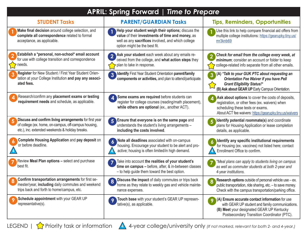| <b>APRIL: Spring Forward   Time to Prepare</b>                                                                                                                    |                                                                                                                                                                                               |                                                                                                                                                                                                    |
|-------------------------------------------------------------------------------------------------------------------------------------------------------------------|-----------------------------------------------------------------------------------------------------------------------------------------------------------------------------------------------|----------------------------------------------------------------------------------------------------------------------------------------------------------------------------------------------------|
| <b>STUDENT Tasks</b>                                                                                                                                              | <b>PARENT/GUARDIAN Tasks</b>                                                                                                                                                                  | <b>Tips, Reminders, Opportunities</b>                                                                                                                                                              |
| Make final decision around college selection, and<br>complete all correspondence related to formal<br>acceptance, as applicable.                                  | Help your student weigh their options; discuss the<br>value of their investments of time and money, as<br>well as any sacrifices involved, and which college<br>option might be the best fit. | Use this link to help compare financial aid offers from<br>multiple college institutions: https://gearupky.tiny.us/<br>mr3knb69                                                                    |
| Establish a *personal, non-school* email account<br>for use with college transition and correspondence<br>needs.                                                  | Ask your student each week about any emails re-<br>ceived from the college, and what action steps they<br>plan to take in response.                                                           | Check for email from the college every week, at<br>$\overline{\mathbf{2}}$<br>minimum; consider an account or folder to keep<br>college-related info separate from all other emails.               |
| Register for New Student / First Year Student Orien-<br>tation at your College Institution and pay any associ-<br>ated fees.                                      | Identify First Year Student Orientation parent/family<br>$\overline{3}$<br>components or activities, and plan to attend/participate.                                                          | (A) *Talk to your GUK PTC about requesting an<br>3<br><b>Orientation Fee Waiver if you have Pell</b><br><b>Grant Eligibility Status!*</b><br>(B) Ask about GEAR UP Early Campus Orientation.       |
| Research/confirm any placement exams or testing<br>requirement needs and schedule, as applicable.                                                                 | Some exams are required before students can<br>register for college courses (reading/math placement),<br>while others are optional (ex., another ACT).                                        | Ask about options to cover the costs of deposits,<br>registration, or other fees (ex. waivers) when<br>scheduling these tests or exams.<br>About ACT fee waivers: https://gearupky.tiny.us/waivers |
| Discuss and confirm living arrangements for first year<br>of college (ex. home, on-campus, off-campus housing,<br>etc.), inc. extended weekends & holiday breaks. | 5 Ensure that everyone is on the same page and<br>understands the student's living arrangements -<br>including the costs involved.                                                            | Identify potential roommate(s) and coordinate<br>plans for Housing Application or lease completion<br>details, as applicable.                                                                      |
| <b>Complete Housing Application and pay deposit on</b><br>or before deadline.                                                                                     | Note all deadlines associated with on-campus<br>housing. Encourage your student to be alert and pro-<br>active; housing is often limited/in high demand.                                      | Identify any specific institutional requirements<br>for Housing (ex. vaccines) not listed here; contact<br>Enrollment Office to confirm.                                                           |
| Review Meal Plan options - select and purchase<br>best fit.                                                                                                       | Take into account the realities of your student's<br>time on campus - before, after, & in-between classes<br>- to help guide them toward the best option.                                     | *Meal plans can apply to students living on campus<br>as well as commuter students at both 2-year and<br>4-year institutions.                                                                      |
| Confirm transportation arrangements for first se-<br>mester/year, including daily commutes and weekend<br>trips back and forth to home/campus, etc.               | Discuss the impact of daily commutes or trips back<br>home as they relate to weekly gas and vehicle mainte-<br>nance expenses.                                                                | <b>Research options</b> outside of personal vehicle use $-$ ex.<br>public transportation, ride sharing, etc. - to save money.<br>Check with the campus transportation/parking office.              |
| Schedule appointment with your GEAR UP<br>representative(s).                                                                                                      | Touch base with your student's GEAR UP represen-<br>9<br>tative(s), as applicable.                                                                                                            | (A) Ensure accurate contact information for use<br>with GEAR UP student and family communications.<br>(B) Meet your designated GEAR UP Kentucky<br>Postsecondary Transition Coordinator (PTC).     |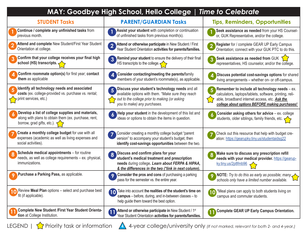|                                                                                                                                                | MAY: Goodbye High School, Hello College   Time to Celebrate                                                                                                                                         |                                                                                                                                                                                                                     |
|------------------------------------------------------------------------------------------------------------------------------------------------|-----------------------------------------------------------------------------------------------------------------------------------------------------------------------------------------------------|---------------------------------------------------------------------------------------------------------------------------------------------------------------------------------------------------------------------|
| <b>STUDENT Tasks</b>                                                                                                                           | <b>PARENT/GUARDIAN Tasks</b>                                                                                                                                                                        | <b>Tips, Reminders, Opportunities</b>                                                                                                                                                                               |
| Continue / complete any unfinished tasks from<br>previous month.                                                                               | Assist your student with completion or continuation<br>of unfinished tasks from previous month(s).                                                                                                  | Seek assistance as needed from your HS Counsel-<br>or, GUK Representative, and/or the college.                                                                                                                      |
| Attend and complete New Student/First Year Student<br>Orientation at college.                                                                  | Attend or otherwise participate in New Student / First<br>$\overline{2}$<br>Year Student Orientation activities for parents/families.                                                               | Register for / complete GEAR UP Early Campus<br>Orientation; connect with your GUK PTC to do this.                                                                                                                  |
| Confirm that your college receives your final high<br>school (HS) transcripts. $\triangle$                                                     | 3 Remind your student to ensure the delivery of their final<br>HS transcripts to the college. $\left\langle \right\rangle$                                                                          | Seek assistance as needed from GUK $\sum$<br>representatives, HS counselor, and/or the college.                                                                                                                     |
| Confirm roommate option(s) for first year; contact<br>them as applicable                                                                       | Consider contacting/meeting the parents/family<br>4<br>members of your student's roommate(s), as applicable.                                                                                        | Discuss potential cost-savings options for shared<br>living arrangements - whether on- or off-campus.                                                                                                               |
| Identify all technology needs and associated<br>costs (ex. college-provided vs. purchase vs. rental;<br>print services, etc.)                  | Discuss your student's technology needs and all<br>5<br>available options with them. *Make sure they reach<br>out to the college prior to making (or asking<br>you to make) any purchases.          | Remember to include all technology needs - ex.<br>calculators, laptops/tablets, software, printing, reli-<br>able, broadband internet access, etc. <b>Ask the</b><br>college about options BEFORE making purchases! |
| Develop a list of college supplies and materials,<br>along with plans to obtain them (ex. purchase, rent,<br>borrow, grad gifts, etc.). $\leq$ | Help your student in the development of this list and<br>ideas or options to obtain the items in question.                                                                                          | Consider asking others for advice - ex. college<br>students, older siblings, family friends, etc.                                                                                                                   |
| Create a monthly college budget for use with all<br>expenses (academic as well as living expenses and<br>social activities).                   | Consider creating a monthly college budget "parent<br>version" to accompany your student's budget, then<br>identify cost-savings opportunities between the two.                                     | Check out this resource that help with budget cre-<br>ation: https://gearupky.tiny.us/studentaidsg22                                                                                                                |
| Schedule medical appointments - for routine<br>needs, as well as college requirements - ex. physical,<br>immunizations.                        | Discuss and confirm plans for your<br>8<br>student's medical treatment and prescription<br>needs during college. Learn about FERPA & HIPAA,<br>& the differences in the two (*link in next column). | Make sure to discuss any prescription refill<br>needs with your medical provider. https://gearup-<br>ky.tiny.us/2p8fmb96                                                                                            |
| Purchase a Parking Pass, as applicable.                                                                                                        | Consider the pros and cons of purchasing a parking<br>9<br>pass for the semester vs. the entire year.                                                                                               | <b>NOTE:</b> Try to do this as early as possible; many $\land$<br>schools only have a limited number available.                                                                                                     |
| Review Meal Plan options - select and purchase best<br>fit (if applicable).                                                                    | Take into account the realities of the student's time on<br>10<br>campus - before, during, and in-between classes - to<br>help guide them toward the best option.                                   | *Meal plans can apply to both students living on<br>campus and commuter students.                                                                                                                                   |
| <b>Complete New Student /First Year Student Orienta-</b><br>tion at College Institution.                                                       | Attend or otherwise participate in New Student / 1st<br>$\overline{11}$<br>Year Student Orientation activities for parents/families.                                                                | <b>Complete GEAR UP Early Campus Orientation.</b>                                                                                                                                                                   |

LEGEND |  $\sum$  Priority task or information 44-year college/university only (If not marked, relevant for both 2- and 4-year.)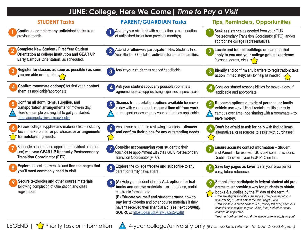| JUNE: College, Here We Come   Time to Pay a Visit                                                                                                                                 |                                                                                                                                                                                                                                                                                                                                                          |                                                                                                                                                                                                                                                                                                                                                                                                                                                                                                                                      |
|-----------------------------------------------------------------------------------------------------------------------------------------------------------------------------------|----------------------------------------------------------------------------------------------------------------------------------------------------------------------------------------------------------------------------------------------------------------------------------------------------------------------------------------------------------|--------------------------------------------------------------------------------------------------------------------------------------------------------------------------------------------------------------------------------------------------------------------------------------------------------------------------------------------------------------------------------------------------------------------------------------------------------------------------------------------------------------------------------------|
| <b>STUDENT Tasks</b>                                                                                                                                                              | <b>PARENT/GUARDIAN Tasks</b>                                                                                                                                                                                                                                                                                                                             | <b>Tips, Reminders, Opportunities</b>                                                                                                                                                                                                                                                                                                                                                                                                                                                                                                |
| Continue / complete any unfinished tasks from<br>previous month.                                                                                                                  | Assist your student with completion or continuation<br>of unfinished tasks from previous month(s).                                                                                                                                                                                                                                                       | Seek assistance as needed from your GUK<br>Postsecondary Transition Coordinator (PTC), and/or<br>appropriate college representatives.                                                                                                                                                                                                                                                                                                                                                                                                |
| <b>Complete New Student / First Year Student</b><br>Orientation at college institution and GEAR UP<br>Early Campus Orientation, as scheduled.                                     | Attend or otherwise participate in New Student / First<br>Year Student Orientation activities for parents/families.                                                                                                                                                                                                                                      | Locate and tour all buildings on campus that<br>$\overline{2}$<br>apply to you and your college-going experience<br>(classes, dorms, etc.). $\left\langle \right\rangle$                                                                                                                                                                                                                                                                                                                                                             |
| Register for classes as soon as possible / as soon<br>$\overline{3}$<br>you are able or eligible.                                                                                 | 3 Assist your student as needed / applicable.                                                                                                                                                                                                                                                                                                            | Identify and confirm any barriers to registration; take<br>action immediately; ask for help as needed.                                                                                                                                                                                                                                                                                                                                                                                                                               |
| Confirm roommate option(s) for first year; contact<br>them as applicable/appropriate.                                                                                             | Ask your student about any possible roommate<br>agreements (ex. supplies, living expenses or purchases).                                                                                                                                                                                                                                                 | Consider shared responsibilities for move-in day, if<br>applicable and appropriate.                                                                                                                                                                                                                                                                                                                                                                                                                                                  |
| Confirm all dorm items, supplies, and<br>transportation arrangements for move-in day.<br>Here's a sample packing list to get you started:<br>https://gearupky.tiny.us/packinglist | Discuss transportation options available for move-<br>in day with your student; request time off from work<br>to transport or accompany your student, as applicable.                                                                                                                                                                                     | Research options outside of personal or family<br>vehicle use - ex. UHaul rentals, multiple trips to<br>campus over time, ride sharing with a roommate $-$ to<br>save money.                                                                                                                                                                                                                                                                                                                                                         |
| Review college supplies and materials list - including<br>tech - make plans for purchases or arrangements<br>for outstanding needs.                                               | Assist your student in reviewing inventory - discuss<br>and confirm their plans for any outstanding needs.                                                                                                                                                                                                                                               | Don't be afraid to ask for help with finding items,<br>alternatives, or resources to assist with purchases!                                                                                                                                                                                                                                                                                                                                                                                                                          |
| Schedule a touch-base appointment (virtual or in-per-<br>son) with your GEAR UP Kentucky Postsecondary<br><b>Transition Coordinator (PTC).</b>                                    | Consider accompanying your student to their<br>touch-base appointment with their GUK Postsecondary<br>Transition Coordinator (PTC).                                                                                                                                                                                                                      | <b>Ensure accurate contact information - Student</b><br>and Parent - for use with GUK text communications.<br>Double-check with your GUK PTC on this.                                                                                                                                                                                                                                                                                                                                                                                |
| Explore the college website and find the pages that<br>8<br>you'll most commonly need to visit.                                                                                   | Explore the college website and subscribe to any<br>8<br>parent or family newsletters.                                                                                                                                                                                                                                                                   | Save key pages as favorites in your browser for<br>easy, future reference.                                                                                                                                                                                                                                                                                                                                                                                                                                                           |
| Secure textbooks and other course materials<br>following completion of Orientation and class<br>registration.                                                                     | (A) Help your student identify ALL options for text-<br>books and course materials - ex. purchase, rental,<br>electronic formats, etc.<br>(B) Educate yourself and student around how to<br>pay for textbooks and other course materials if they<br>haven't received their financial aid (see next column).<br>SOURCE: https://gearupky.tiny.us/2s5ywj89 | Schools that participate in federal student aid pro-<br>grams must provide a way for students to obtain<br>books & supplies by the 7 <sup>th</sup> day of the term if:<br>· You are eligible for disbursement (i.e., the payment of your<br>financial aid) 10 days before the term begins, and<br>· You will have a credit balance (i.e., money left over) after your<br>financial aid is applied to your tuition, fees, and other school<br>charges as applicable.<br>*Your school can tell you if the above criteria apply to you* |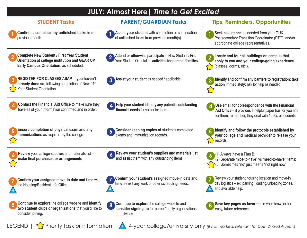| <b>JULY: Almost Here   Time to Get Excited</b>                                                                                                |                                                                                                                                                 |                                                                                                                                                                        |
|-----------------------------------------------------------------------------------------------------------------------------------------------|-------------------------------------------------------------------------------------------------------------------------------------------------|------------------------------------------------------------------------------------------------------------------------------------------------------------------------|
| <b>STUDENT Tasks</b>                                                                                                                          | <b>PARENT/GUARDIAN Tasks</b>                                                                                                                    | <b>Tips, Reminders, Opportunities</b>                                                                                                                                  |
| Continue / complete any unfinished tasks from<br>previous month.                                                                              | Assist your student with completion or continuation<br>of unfinished tasks from previous month(s).                                              | Seek assistance as needed from your GUK<br>Postsecondary Transition Coordinator (PTC), and/or<br>appropriate college representatives.                                  |
| <b>Complete New Student / First Year Student</b><br>Orientation at college institution and GEAR UP<br>Early Campus Orientation, as scheduled. | Attend or otherwise participate in New Student / First<br>Year Student Orientation activities for parents/families.                             | Locate and tour all buildings on campus that<br>apply to you and your college-going experience<br>(classes, dorms, etc.).                                              |
| REGISTER FOR CLASSES ASAP, if you haven't<br>already done so, following completion of New / 1 <sup>st</sup><br>Year Student Orientation       | Assist your student as needed / applicable.<br>$\overline{3}$                                                                                   | Identify and confirm any barriers to registration; take<br>action immediately; ask for help as needed.                                                                 |
| Contact the Financial Aid Office to make sure they<br>have all of your information confirmed and in order.                                    | Help your student identify any potential outstanding<br>4<br>financial needs for you or for them.                                               | Use email for correspondence with the Financial<br>Aid Office – it provides a helpful paper trail for you and<br>for them; remember, they deal with 1000s of students! |
| Ensure completion of physical exam and any<br>5<br>immunizations as required by the college.                                                  | Consider keeping copies of student's completed<br>exams and immunization records.                                                               | Identify and follow the protocols established by<br>your college and medical provider to release your<br>records.                                                      |
| Review your college supplies and materials list -<br>make final purchases or arrangements.                                                    | Review your student's supplies and materials list<br>and assist them with any outstanding items.                                                | $(1)$ Always have a Plan B;<br>(2) Separate "nice-to-have" vs "need-to-have" items;<br>"(3) Sometimes "no" just means "not right now"                                  |
| Confirm your assigned move-In date and time with<br>the Housing/Resident Life Office.                                                         | Confirm your student's assigned move-in date and<br>time; revisit any work or other scheduling needs.                                           | Review your student housing location and move-in<br>day logistics - ex. parking, loading/unloading zones,<br>and available help.                                       |
| Continue to explore the college website and identify<br>two student clubs or organizations that you'd like to<br>consider joining.            | Continue to explore the college website and<br>$\overline{\mathbf{8}}$<br>consider signing up for parent/family organizations<br>or activities. | Save key pages as favorites in your browser for<br>8<br>easy, future reference.                                                                                        |

LEGEND |  $\sum$  Priority task or information 44-year college/university only (If not marked, relevant for both 2- and 4-year.)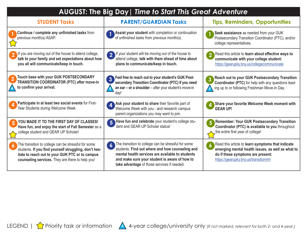| AUGUST: The Big Day   Time to Start This Great Adventure                                                                                                                                                            |                                                                                                                                                                                                                                                                                |                                                                                                                                                                                      |
|---------------------------------------------------------------------------------------------------------------------------------------------------------------------------------------------------------------------|--------------------------------------------------------------------------------------------------------------------------------------------------------------------------------------------------------------------------------------------------------------------------------|--------------------------------------------------------------------------------------------------------------------------------------------------------------------------------------|
| <b>STUDENT Tasks</b>                                                                                                                                                                                                | <b>PARENT/GUARDIAN Tasks</b>                                                                                                                                                                                                                                                   | <b>Tips, Reminders, Opportunities</b>                                                                                                                                                |
| Continue / complete any unfinished tasks from<br>previous month(s) ASAP.                                                                                                                                            | Assist your student with completion or continuation<br>of unfinished tasks from previous month(s).                                                                                                                                                                             | Seek assistance as needed from your GUK<br>Postsecondary Transition Coordinator (PTC), and/or<br>college representatives.                                                            |
| If you are moving out of the house to attend college,<br>talk to your family and set expectations about how<br>you all will communicate/keep in touch.                                                              | 2 If your student will be moving out of the house to<br>attend college, talk with them ahead of time about<br>plans to communicate/keep in touch.                                                                                                                              | Read this article to learn about effective ways to<br>$\overline{2}$<br>communicate with your college student:<br>https://gearupky.tiny.us/collegecommunicate                        |
| Touch base with your GUK POSTSECONDARY<br><b>TRANSITION COORDINATOR (PTC) after move-in</b><br>to confirm your arrival.                                                                                             | Feel free to reach out to your student's GUK Post-<br>$\overline{3}$<br>secondary Transition Coordinator (PTC) if you need<br>an ear - or a shoulder - after your student's move-in<br>day!                                                                                    | <b>Reach out to your GUK Postsecondary Transition</b><br>3<br>Coordinator (PTC) for help with any questions lead-<br>ing up to or following Freshman Move-In Day.                    |
| Participate in at least two social events for First-<br>Year Students during Welcome Week.                                                                                                                          | Ask your student to share their favorite part of<br>Welcome Week with you - and research campus<br>parent organizations you may want to join.                                                                                                                                  | Share your favorite Welcome Week moment with<br><b>GEAR UP!</b>                                                                                                                      |
| YOU MADE IT TO THE FIRST DAY OF CLASSES!<br>5<br>Have fun, and enjoy the start of Fall Semester as a<br>college student and GEAR UP Scholar!                                                                        | Have fun and celebrate your student's college stu-<br>dent and GEAR UP Scholar status!                                                                                                                                                                                         | Remember: Your GUK Postsecondary Transition<br>Coordinator (PTC) is available to you throughout<br>the entire first year of college!                                                 |
| The transition to college can be stressful for some<br>students. If you find yourself struggling, don't hes-<br>itate to reach out to your GUK PTC or to campus<br>counseling services. They are there to help you! | The transition to college can be stressful for some<br>$\boldsymbol{6}$<br>students. Find out where and how counseling and<br>mental health services are available to students<br>and make sure your student is aware of how to<br>take advantage of those services if needed. | Read this article to learn symptoms that indicate<br>emerging mental health issues, as well as what to<br>do if these symptoms are present:<br>https://gearupky.tiny.us/transitionmh |